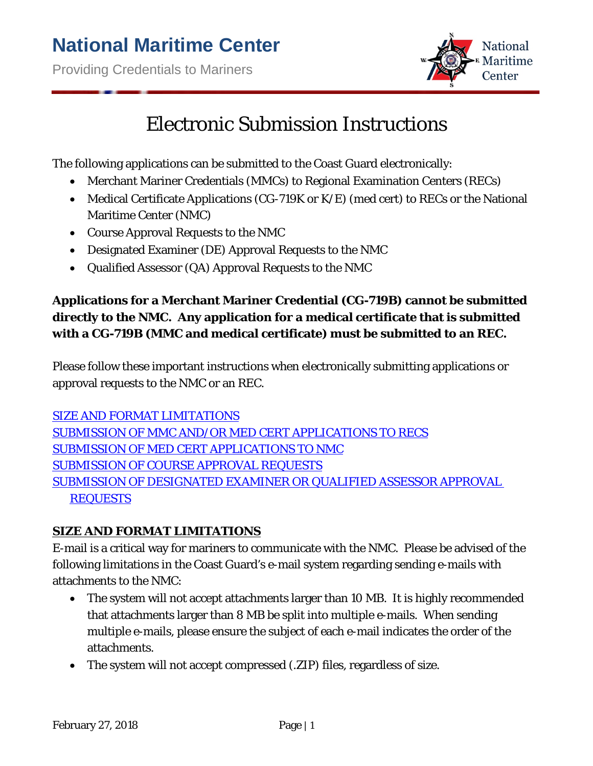

# Electronic Submission Instructions

The following applications can be submitted to the Coast Guard electronically:

- Merchant Mariner Credentials (MMCs) to Regional Examination Centers (RECs)
- Medical Certificate Applications (CG-719K or K/E) (med cert) to RECs or the National Maritime Center (NMC)
- Course Approval Requests to the NMC
- Designated Examiner (DE) Approval Requests to the NMC
- Qualified Assessor (QA) Approval Requests to the NMC

# **Applications for a Merchant Mariner Credential (CG-719B) cannot be submitted directly to the NMC. Any application for a medical certificate that is submitted with a CG-719B (MMC and medical certificate) must be submitted to an REC.**

Please follow these important instructions when electronically submitting applications or approval requests to the NMC or an REC.

[SIZE AND FORMAT LIMITATIONS](#page-0-0) [SUBMISSION OF MMC AND/OR MED CERT APPLICATIONS TO RECS](#page-1-0) [SUBMISSION OF MED CERT](#page-1-1) APPLICATIONS TO NMC [SUBMISSION OF COURSE APPROVAL](#page-2-0) REQUESTS [SUBMISSION OF DESIGNATED EXAMINER OR QUALIFIED ASSESSOR APPROVAL](#page-3-0) **[REQUESTS](#page-3-0)** 

### <span id="page-0-0"></span>**SIZE AND FORMAT LIMITATIONS**

E-mail is a critical way for mariners to communicate with the NMC. Please be advised of the following limitations in the Coast Guard's e-mail system regarding sending e-mails with attachments to the NMC:

- The system will not accept attachments larger than 10 MB. It is highly recommended that attachments larger than 8 MB be split into multiple e-mails. When sending multiple e-mails, please ensure the subject of each e-mail indicates the order of the attachments.
- The system will not accept compressed (.ZIP) files, regardless of size.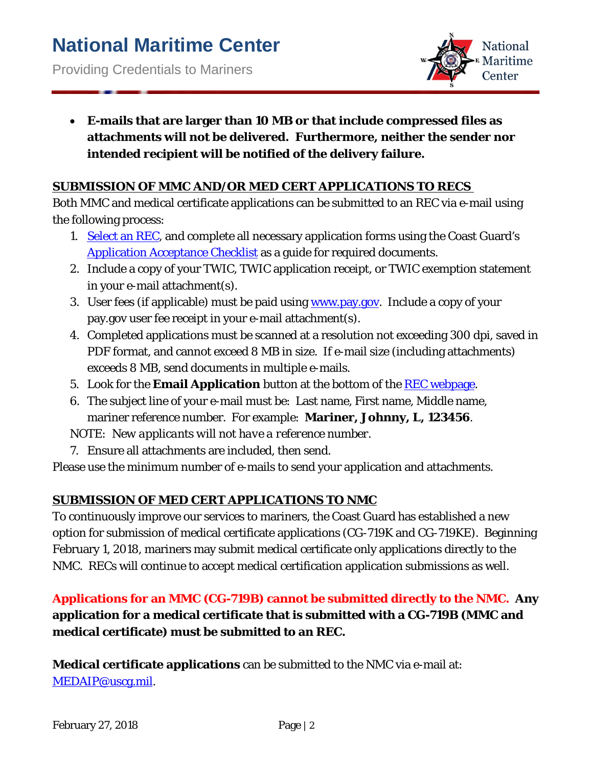

• **E-mails that are larger than 10 MB or that include compressed files as attachments will not be delivered. Furthermore, neither the sender nor intended recipient will be notified of the delivery failure.**

#### <span id="page-1-0"></span>**SUBMISSION OF MMC AND/OR MED CERT APPLICATIONS TO RECS**

Both MMC and medical certificate applications can be submitted to an REC via e-mail using the following process:

- 1. [Select an REC,](http://www.dco.uscg.mil/OurOrganization/AssistantCommandantforPreventionPolicy(CG-5P)/CommercialRegulationsstandards(CG-5PS)/NationalMaritimeCenter(NMC)/RegionalExamCenters(RECs).aspx) and complete all necessary application forms using the Coast Guard's [Application Acceptance Checklist](http://www.dco.uscg.mil/Portals/9/NMC/pdfs/checklists/application%20checklist/Application_Acceptance_Cklst_13.pdf?ver=2017-06-20-160431-137) as a guide for required documents.
- 2. Include a copy of your TWIC, TWIC application receipt, or TWIC exemption statement in your e-mail attachment(s).
- 3. User fees (if applicable) must be paid using [www.pay.gov.](http://www.pay.gov/) Include a copy of your pay.gov user fee receipt in your e-mail attachment(s).
- 4. Completed applications must be scanned at a resolution not exceeding 300 dpi, saved in PDF format, and cannot exceed 8 MB in size. If e-mail size (including attachments) exceeds 8 MB, send documents in multiple e-mails.
- 5. Look for the **Email Application** button at the bottom of the REC [webpage.](http://www.dco.uscg.mil/Our-Organization/Assistant-Commandant-for-Prevention-Policy-CG-5P/National-Maritime-Center-NMC/regional_exam_centers/)
- 6. The subject line of your e-mail must be: Last name, First name, Middle name, mariner reference number. For example: **Mariner, Johnny, L, 123456**.

*NOTE: New applicants will not have a reference number.*

7. Ensure all attachments are included, then send.

Please use the minimum number of e-mails to send your application and attachments.

#### <span id="page-1-1"></span>**SUBMISSION OF MED CERT APPLICATIONS TO NMC**

To continuously improve our services to mariners, the Coast Guard has established a new option for submission of medical certificate applications (CG-719K and CG-719KE). Beginning February 1, 2018, mariners may submit medical certificate only applications directly to the NMC. RECs will continue to accept medical certification application submissions as well.

# **Applications for an MMC (CG-719B) cannot be submitted directly to the NMC. Any application for a medical certificate that is submitted with a CG-719B (MMC and medical certificate) must be submitted to an REC.**

**Medical certificate applications** can be submitted to the NMC via e-mail at: [MEDAIP@uscg.mil.](mailto:MEDAIP@uscg.mil)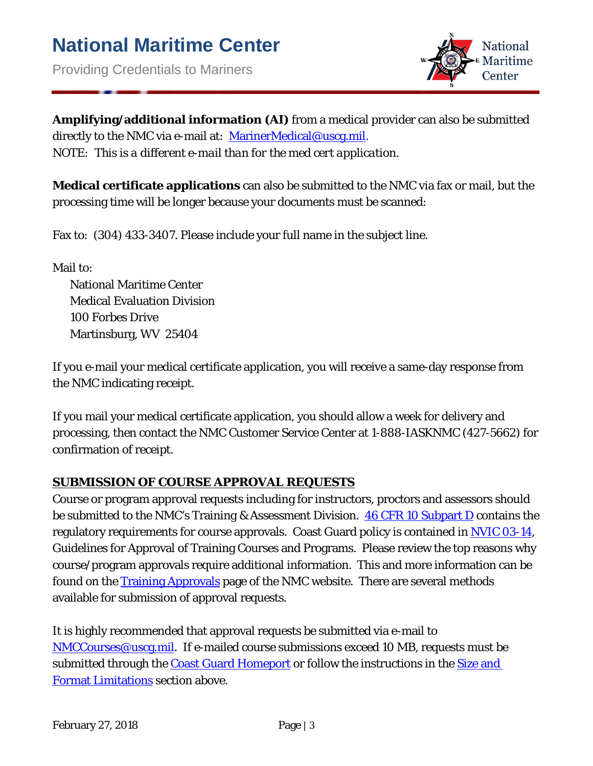

**Amplifying/additional information (AI)** from a medical provider can also be submitted directly to the NMC via e-mail at: [MarinerMedical@uscg.mil.](mailto:MarinerMedical@uscg.mil) *NOTE: This is a different e-mail than for the med cert application.*

**Medical certificate applications** can also be submitted to the NMC via fax or mail, but the processing time will be longer because your documents must be scanned:

Fax to: (304) 433-3407. Please include your full name in the subject line.

Mail to:

National Maritime Center Medical Evaluation Division 100 Forbes Drive Martinsburg, WV 25404

If you e-mail your medical certificate application, you will receive a same-day response from the NMC indicating receipt.

If you mail your medical certificate application, you should allow a week for delivery and processing, then contact the NMC Customer Service Center at 1-888-IASKNMC (427-5662) for confirmation of receipt.

#### <span id="page-2-0"></span>**SUBMISSION OF COURSE APPROVAL REQUESTS**

Course or program approval requests including for instructors, proctors and assessors should be submitted to the NMC's Training & Assessment Division. [46 CFR 10 Subpart D](https://www.ecfr.gov/cgi-bin/ECFR?SID=45ab2dc415c10adc82fedb506fb678b5&page=) contains the regulatory requirements for course approvals. Coast Guard policy is contained in [NVIC 03-14,](http://www.dco.uscg.mil/Our-Organization/NVIC/) Guidelines for Approval of Training Courses and Programs. Please review the top reasons why course/program approvals require additional information. This and more information can be found on the **Training Approvals** page of the NMC website. There are several methods available for submission of approval requests.

It is highly recommended that approval requests be submitted via e-mail to [NMCCourses@uscg.mil.](mailto:NMCCourses@uscg.mil) If e-mailed course submissions exceed 10 MB, requests must be submitted through the [Coast Guard Homeport](https://homeport.uscg.mil/) or follow the instructions in the Size and [Format Limitations](#page-0-0) section above.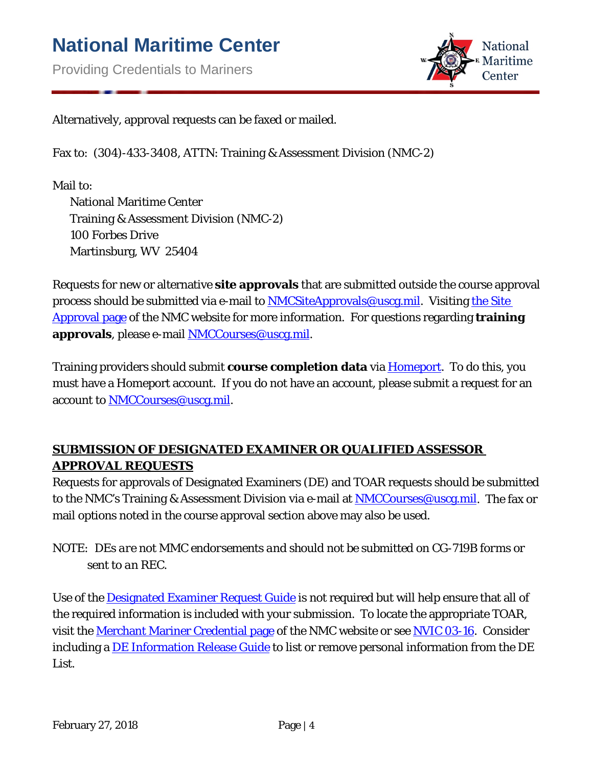

Alternatively, approval requests can be faxed or mailed.

Fax to: (304)-433-3408, ATTN: Training & Assessment Division (NMC-2)

Mail to:

National Maritime Center Training & Assessment Division (NMC-2) 100 Forbes Drive Martinsburg, WV 25404

Requests for new or alternative **site approvals** that are submitted outside the course approval process should be submitted via e-mail to **NMCSiteApprovals@uscg.mil**. Visiting the Site [Approval page](http://www.dco.uscg.mil/Our-Organization/Assistant-Commandant-for-Prevention-Policy-CG-5P/National-Maritime-Center-NMC/Training-Assessments/) of the NMC website for more information. For questions regarding **training approvals**, please e-mail [NMCCourses@uscg.mil.](mailto:NMCCourses@uscg.mil)

Training providers should submit **course completion data** via [Homeport.](https://homeport.uscg.mil/) To do this, you must have a Homeport account. If you do not have an account, please submit a request for an account to [NMCCourses@uscg.mil.](mailto:NMCCourses@uscg.mil)

## <span id="page-3-0"></span>**SUBMISSION OF DESIGNATED EXAMINER OR QUALIFIED ASSESSOR APPROVAL REQUESTS**

Requests for approvals of Designated Examiners (DE) and TOAR requests should be submitted to the NMC's Training & Assessment Division via e-mail at [NMCCourses@uscg.mil.](mailto:NMCCourses@uscg.mil) The fax or mail options noted in the course approval section above may also be used.

*NOTE: DEs are not MMC endorsements and should not be submitted on CG-719B forms or sent to an REC.* 

Use of the [Designated Examiner Request Guide](http://www.dco.uscg.mil/Portals/9/NMC/pdfs/de/designated_examiner_request_guide.pdf) is not required but will help ensure that all of the required information is included with your submission. To locate the appropriate TOAR, visit the [Merchant Mariner Credential page](http://www.dco.uscg.mil/Our-Organization/Assistant-Commandant-for-Prevention-Policy-CG-5P/National-Maritime-Center-NMC/merchant_mariner_credential/) of the NMC website or see [NVIC 03-16.](http://www.dco.uscg.mil/Our-Organization/NVIC/) Consider including a [DE Information Release Guide](http://www.dco.uscg.mil/Portals/9/NMC/pdfs/de/designated_examiner_information_release_guide.pdf) to list or remove personal information from the DE List.